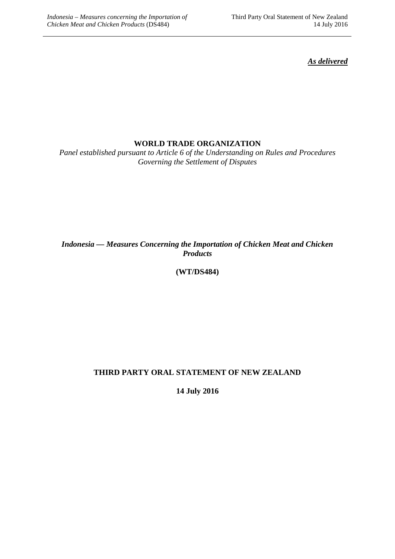*As delivered*

## **WORLD TRADE ORGANIZATION**

*Panel established pursuant to Article 6 of the Understanding on Rules and Procedures Governing the Settlement of Disputes*

## *Indonesia — Measures Concerning the Importation of Chicken Meat and Chicken Products*

# **(WT/DS484)**

# **THIRD PARTY ORAL STATEMENT OF NEW ZEALAND**

**14 July 2016**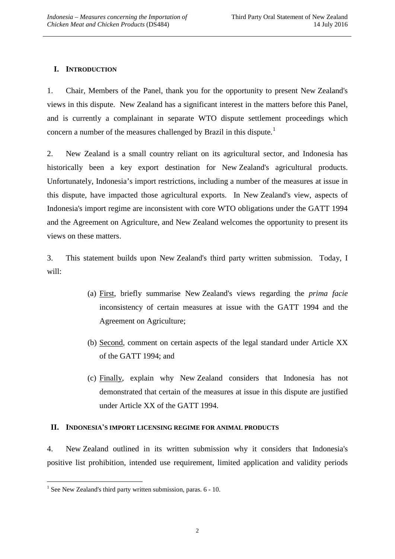## **I. INTRODUCTION**

1. Chair, Members of the Panel, thank you for the opportunity to present New Zealand's views in this dispute. New Zealand has a significant interest in the matters before this Panel, and is currently a complainant in separate WTO dispute settlement proceedings which concern a number of the measures challenged by Brazil in this dispute.<sup>[1](#page-1-0)</sup>

2. New Zealand is a small country reliant on its agricultural sector, and Indonesia has historically been a key export destination for New Zealand's agricultural products. Unfortunately, Indonesia's import restrictions, including a number of the measures at issue in this dispute, have impacted those agricultural exports. In New Zealand's view, aspects of Indonesia's import regime are inconsistent with core WTO obligations under the GATT 1994 and the Agreement on Agriculture, and New Zealand welcomes the opportunity to present its views on these matters.

3. This statement builds upon New Zealand's third party written submission. Today, I will:

- (a) First, briefly summarise New Zealand's views regarding the *prima facie* inconsistency of certain measures at issue with the GATT 1994 and the Agreement on Agriculture;
- (b) Second, comment on certain aspects of the legal standard under Article XX of the GATT 1994; and
- (c) Finally, explain why New Zealand considers that Indonesia has not demonstrated that certain of the measures at issue in this dispute are justified under Article XX of the GATT 1994.

#### **II. INDONESIA'S IMPORT LICENSING REGIME FOR ANIMAL PRODUCTS**

4. New Zealand outlined in its written submission why it considers that Indonesia's positive list prohibition, intended use requirement, limited application and validity periods

<u>.</u>

<span id="page-1-0"></span> $<sup>1</sup>$  See New Zealand's third party written submission, paras. 6 - 10.</sup>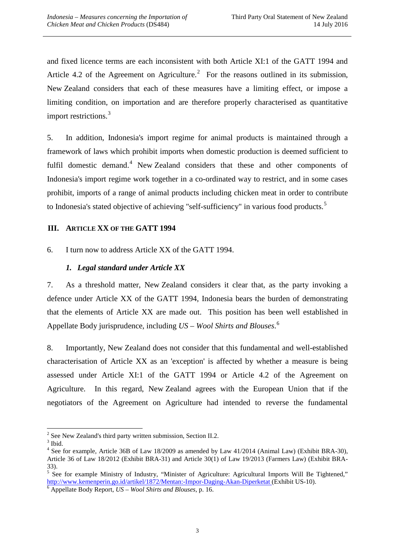and fixed licence terms are each inconsistent with both Article XI:1 of the GATT 1994 and Article 4.[2](#page-2-0) of the Agreement on Agriculture.<sup>2</sup> For the reasons outlined in its submission, New Zealand considers that each of these measures have a limiting effect, or impose a limiting condition, on importation and are therefore properly characterised as quantitative import restrictions.<sup>[3](#page-2-1)</sup>

5. In addition, Indonesia's import regime for animal products is maintained through a framework of laws which prohibit imports when domestic production is deemed sufficient to fulfil domestic demand.<sup>[4](#page-2-2)</sup> New Zealand considers that these and other components of Indonesia's import regime work together in a co-ordinated way to restrict, and in some cases prohibit, imports of a range of animal products including chicken meat in order to contribute to Indonesia's stated objective of achieving "self-sufficiency" in various food products.<sup>[5](#page-2-3)</sup>

### **III. ARTICLE XX OF THE GATT 1994**

6. I turn now to address Article XX of the GATT 1994.

### *1. Legal standard under Article XX*

7. As a threshold matter, New Zealand considers it clear that, as the party invoking a defence under Article XX of the GATT 1994, Indonesia bears the burden of demonstrating that the elements of Article XX are made out. This position has been well established in Appellate Body jurisprudence, including *US – Wool Shirts and Blouses*. [6](#page-2-4)

8. Importantly, New Zealand does not consider that this fundamental and well-established characterisation of Article XX as an 'exception' is affected by whether a measure is being assessed under Article XI:1 of the GATT 1994 or Article 4.2 of the Agreement on Agriculture. In this regard, New Zealand agrees with the European Union that if the negotiators of the Agreement on Agriculture had intended to reverse the fundamental

<sup>&</sup>lt;sup>2</sup> See New Zealand's third party written submission, Section II.2.  $3^3$  Ibid. -

<span id="page-2-0"></span>

<span id="page-2-2"></span><span id="page-2-1"></span><sup>&</sup>lt;sup>4</sup> See for example, Article 36B of Law 18/2009 as amended by Law 41/2014 (Animal Law) (Exhibit BRA-30), Article 36 of Law 18/2012 (Exhibit BRA-31) and Article 30(1) of Law 19/2013 (Farmers Law) (Exhibit BRA-33).

<span id="page-2-3"></span> $5$  See for example Ministry of Industry, "Minister of Agriculture: Agricultural Imports Will Be Tightened," <http://www.kemenperin.go.id/artikel/1872/Mentan:-Impor-Daging-Akan-Diperketat> (Exhibit US-10). <sup>6</sup> Appellate Body Report, *US – Wool Shirts and Blouses*, p. 16.

<span id="page-2-4"></span>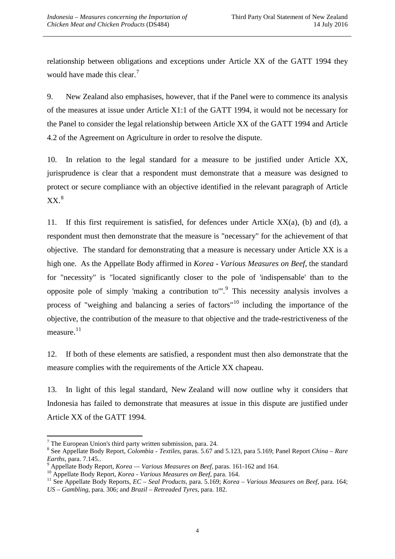relationship between obligations and exceptions under Article XX of the GATT 1994 they would have made this clear.<sup>[7](#page-3-0)</sup>

9. New Zealand also emphasises, however, that if the Panel were to commence its analysis of the measures at issue under Article X1:1 of the GATT 1994, it would not be necessary for the Panel to consider the legal relationship between Article XX of the GATT 1994 and Article 4.2 of the Agreement on Agriculture in order to resolve the dispute.

10. In relation to the legal standard for a measure to be justified under Article XX, jurisprudence is clear that a respondent must demonstrate that a measure was designed to protect or secure compliance with an objective identified in the relevant paragraph of Article  $XX.^8$  $XX.^8$ 

11. If this first requirement is satisfied, for defences under Article XX(a), (b) and (d), a respondent must then demonstrate that the measure is "necessary" for the achievement of that objective. The standard for demonstrating that a measure is necessary under Article XX is a high one. As the Appellate Body affirmed in *Korea - Various Measures on Beef*, the standard for "necessity" is "located significantly closer to the pole of 'indispensable' than to the opposite pole of simply 'making a contribution to"<sup>[9](#page-3-2)</sup>. This necessity analysis involves a process of "weighing and balancing a series of factors"<sup>[10](#page-3-3)</sup> including the importance of the objective, the contribution of the measure to that objective and the trade-restrictiveness of the measure.<sup>[11](#page-3-4)</sup>

12. If both of these elements are satisfied, a respondent must then also demonstrate that the measure complies with the requirements of the Article XX chapeau.

13. In light of this legal standard, New Zealand will now outline why it considers that Indonesia has failed to demonstrate that measures at issue in this dispute are justified under Article XX of the GATT 1994.

<u>.</u>

<span id="page-3-0"></span> $<sup>7</sup>$  The European Union's third party written submission, para. 24.</sup>

<span id="page-3-1"></span><sup>8</sup> See Appellate Body Report, *Colombia - Textiles*, paras. 5.67 and 5.123, para 5.169; Panel Report *China – Rare* 

<span id="page-3-4"></span><span id="page-3-3"></span>

<span id="page-3-2"></span><sup>&</sup>lt;sup>9</sup> Appellate Body Report, *Korea* — *Various Measures on Beef*, paras. 161-162 and 164.<br><sup>10</sup> Appellate Body Report, *Korea - Various Measures on Beef*, para. 164.<br><sup>11</sup> See Appellate Body Reports, *EC* – *Seal Products*, *US – Gambling*, para. 306; and *Brazil – Retreaded Tyres*, para. 182.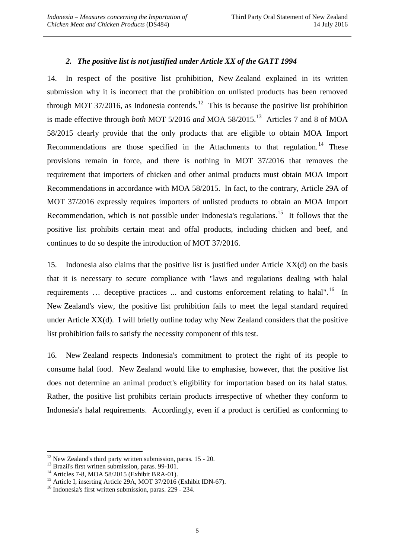## *2. The positive list is not justified under Article XX of the GATT 1994*

14. In respect of the positive list prohibition, New Zealand explained in its written submission why it is incorrect that the prohibition on unlisted products has been removed through MOT 37/2016, as Indonesia contends.<sup>[12](#page-4-0)</sup> This is because the positive list prohibition is made effective through *both* MOT 5/2016 *and* MOA 58/2015.[13](#page-4-1) Articles 7 and 8 of MOA 58/2015 clearly provide that the only products that are eligible to obtain MOA Import Recommendations are those specified in the Attachments to that regulation.<sup>[14](#page-4-2)</sup> These provisions remain in force, and there is nothing in MOT 37/2016 that removes the requirement that importers of chicken and other animal products must obtain MOA Import Recommendations in accordance with MOA 58/2015. In fact, to the contrary, Article 29A of MOT 37/2016 expressly requires importers of unlisted products to obtain an MOA Import Recommendation, which is not possible under Indonesia's regulations.<sup>[15](#page-4-3)</sup> It follows that the positive list prohibits certain meat and offal products, including chicken and beef, and continues to do so despite the introduction of MOT 37/2016.

15. Indonesia also claims that the positive list is justified under Article XX(d) on the basis that it is necessary to secure compliance with "laws and regulations dealing with halal requirements  $\ldots$  deceptive practices  $\ldots$  and customs enforcement relating to halal".<sup>[16](#page-4-4)</sup> In New Zealand's view, the positive list prohibition fails to meet the legal standard required under Article XX(d). I will briefly outline today why New Zealand considers that the positive list prohibition fails to satisfy the necessity component of this test.

16. New Zealand respects Indonesia's commitment to protect the right of its people to consume halal food. New Zealand would like to emphasise, however, that the positive list does not determine an animal product's eligibility for importation based on its halal status. Rather, the positive list prohibits certain products irrespective of whether they conform to Indonesia's halal requirements. Accordingly, even if a product is certified as conforming to

<span id="page-4-0"></span> $12$  New Zealand's third party written submission, paras. 15 - 20.

<span id="page-4-3"></span><span id="page-4-2"></span>

<span id="page-4-1"></span><sup>&</sup>lt;sup>13</sup> Brazil's first written submission, paras. 99-101.<br><sup>14</sup> Articles 7-8, MOA 58/2015 (Exhibit BRA-01).<br><sup>15</sup> Article I, inserting Article 29A, MOT 37/2016 (Exhibit IDN-67).<br><sup>16</sup> Indonesia's first written submission, paras

<span id="page-4-4"></span>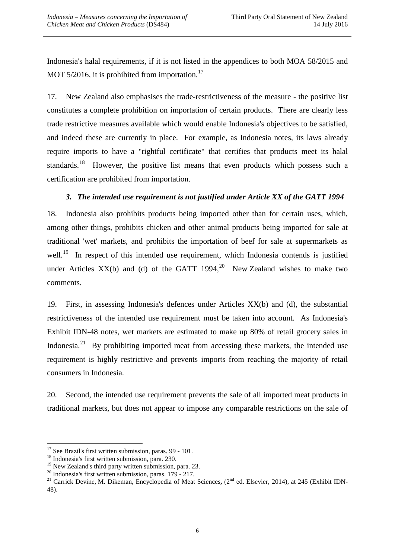Indonesia's halal requirements, if it is not listed in the appendices to both MOA 58/2015 and MOT 5/2016, it is prohibited from importation.<sup>17</sup>

17. New Zealand also emphasises the trade-restrictiveness of the measure - the positive list constitutes a complete prohibition on importation of certain products. There are clearly less trade restrictive measures available which would enable Indonesia's objectives to be satisfied, and indeed these are currently in place. For example, as Indonesia notes, its laws already require imports to have a "rightful certificate" that certifies that products meet its halal standards.<sup>18</sup> However, the positive list means that even products which possess such a certification are prohibited from importation.

## *3. The intended use requirement is not justified under Article XX of the GATT 1994*

18. Indonesia also prohibits products being imported other than for certain uses, which, among other things, prohibits chicken and other animal products being imported for sale at traditional 'wet' markets, and prohibits the importation of beef for sale at supermarkets as well.<sup>[19](#page-5-2)</sup> In respect of this intended use requirement, which Indonesia contends is justified under Articles  $XX(b)$  and (d) of the GATT 1994,<sup>[20](#page-5-3)</sup> New Zealand wishes to make two comments.

19. First, in assessing Indonesia's defences under Articles XX(b) and (d), the substantial restrictiveness of the intended use requirement must be taken into account. As Indonesia's Exhibit IDN-48 notes, wet markets are estimated to make up 80% of retail grocery sales in Indonesia.<sup>[21](#page-5-4)</sup> By prohibiting imported meat from accessing these markets, the intended use requirement is highly restrictive and prevents imports from reaching the majority of retail consumers in Indonesia.

20. Second, the intended use requirement prevents the sale of all imported meat products in traditional markets, but does not appear to impose any comparable restrictions on the sale of

<span id="page-5-0"></span> $17$  See Brazil's first written submission, paras. 99 - 101.

<span id="page-5-1"></span><sup>&</sup>lt;sup>18</sup> Indonesia's first written submission, para. 230.<br><sup>19</sup> New Zealand's third party written submission, para. 23.

<span id="page-5-4"></span><span id="page-5-3"></span><span id="page-5-2"></span><sup>&</sup>lt;sup>20</sup> Indonesia's first written submission, paras. 179 - 217.<br><sup>21</sup> Carrick Devine, M. Dikeman, Encyclopedia of Meat Sciences, (2<sup>nd</sup> ed. Elsevier, 2014), at 245 (Exhibit IDN-48).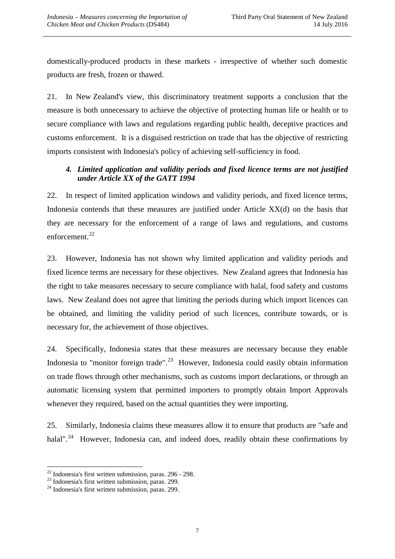domestically-produced products in these markets - irrespective of whether such domestic products are fresh, frozen or thawed.

21. In New Zealand's view, this discriminatory treatment supports a conclusion that the measure is both unnecessary to achieve the objective of protecting human life or health or to secure compliance with laws and regulations regarding public health, deceptive practices and customs enforcement. It is a disguised restriction on trade that has the objective of restricting imports consistent with Indonesia's policy of achieving self-sufficiency in food.

## *4. Limited application and validity periods and fixed licence terms are not justified under Article XX of the GATT 1994*

22. In respect of limited application windows and validity periods, and fixed licence terms, Indonesia contends that these measures are justified under Article XX(d) on the basis that they are necessary for the enforcement of a range of laws and regulations, and customs enforcement. $^{22}$  $^{22}$  $^{22}$ 

23. However, Indonesia has not shown why limited application and validity periods and fixed licence terms are necessary for these objectives. New Zealand agrees that Indonesia has the right to take measures necessary to secure compliance with halal, food safety and customs laws. New Zealand does not agree that limiting the periods during which import licences can be obtained, and limiting the validity period of such licences, contribute towards, or is necessary for, the achievement of those objectives.

24. Specifically, Indonesia states that these measures are necessary because they enable Indonesia to "monitor foreign trade".<sup>[23](#page-6-1)</sup> However, Indonesia could easily obtain information on trade flows through other mechanisms, such as customs import declarations, or through an automatic licensing system that permitted importers to promptly obtain Import Approvals whenever they required, based on the actual quantities they were importing.

25. Similarly, Indonesia claims these measures allow it to ensure that products are "safe and halal".<sup>24</sup> However, Indonesia can, and indeed does, readily obtain these confirmations by

<sup>&</sup>lt;sup>22</sup> Indonesia's first written submission, paras. 296 - 298.<br><sup>23</sup> Indonesia's first written submission, paras. 299.<br><sup>24</sup> Indonesia's first written submission, paras. 299. <u>.</u>

<span id="page-6-1"></span><span id="page-6-0"></span>

<span id="page-6-2"></span>